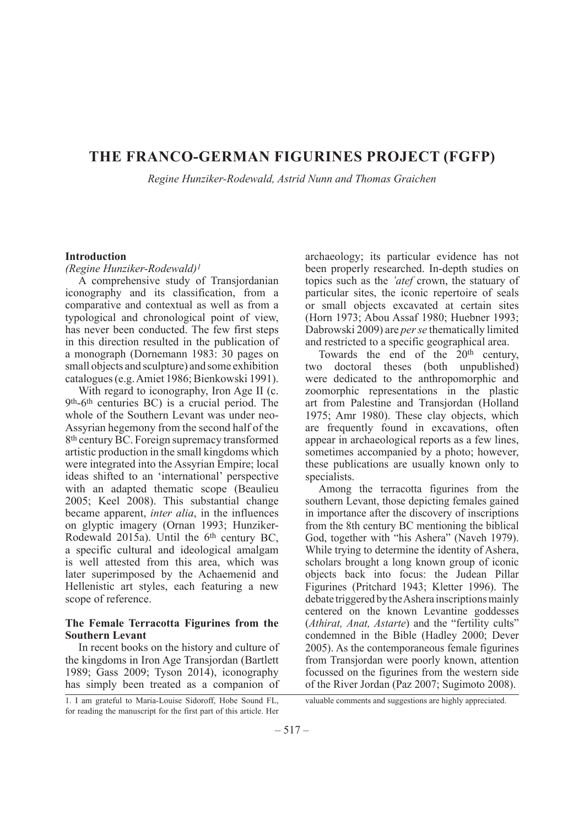## **THE FRANCO-GERMAN FIGURINES PROJECT (FGFP)**

*Regine Hunziker-Rodewald, Astrid Nunn and Thomas Graichen*

## **Introduction**

#### *(Regine Hunziker-Rodewald)1*

A comprehensive study of Transjordanian iconography and its classification, from a comparative and contextual as well as from a typological and chronological point of view, has never been conducted. The few first steps in this direction resulted in the publication of a monograph (Dornemann 1983: 30 pages on small objects and sculpture) and some exhibition catalogues (e.g. Amiet 1986; Bienkowski 1991).

With regard to iconography, Iron Age II (c. 9th-6th centuries BC) is a crucial period. The whole of the Southern Levant was under neo-Assyrian hegemony from the second half of the 8th century BC. Foreign supremacy transformed artistic production in the small kingdoms which were integrated into the Assyrian Empire; local ideas shifted to an 'international' perspective with an adapted thematic scope (Beaulieu 2005; Keel 2008). This substantial change became apparent, *inter alia*, in the influences on glyptic imagery (Ornan 1993; Hunziker-Rodewald 2015a). Until the 6<sup>th</sup> century BC, a specific cultural and ideological amalgam is well attested from this area, which was later superimposed by the Achaemenid and Hellenistic art styles, each featuring a new scope of reference.

## **The Female Terracotta Figurines from the Southern Levant**

In recent books on the history and culture of the kingdoms in Iron Age Transjordan (Bartlett 1989; Gass 2009; Tyson 2014), iconography has simply been treated as a companion of

archaeology; its particular evidence has not been properly researched. In-depth studies on topics such as the *'atef* crown, the statuary of particular sites, the iconic repertoire of seals or small objects excavated at certain sites (Horn 1973; Abou Assaf 1980; Huebner 1993; Dabrowski 2009) are *per se* thematically limited and restricted to a specific geographical area.

Towards the end of the  $20<sup>th</sup>$  century, two doctoral theses (both unpublished) were dedicated to the anthropomorphic and zoomorphic representations in the plastic art from Palestine and Transjordan (Holland 1975; Amr 1980). These clay objects, which are frequently found in excavations, often appear in archaeological reports as a few lines, sometimes accompanied by a photo; however, these publications are usually known only to specialists.

Among the terracotta figurines from the southern Levant, those depicting females gained in importance after the discovery of inscriptions from the 8th century BC mentioning the biblical God, together with "his Ashera" (Naveh 1979). While trying to determine the identity of Ashera, scholars brought a long known group of iconic objects back into focus: the Judean Pillar Figurines (Pritchard 1943; Kletter 1996). The debate triggered by the Ashera inscriptions mainly centered on the known Levantine goddesses (*Athirat, Anat, Astarte*) and the "fertility cults" condemned in the Bible (Hadley 2000; Dever 2005). As the contemporaneous female figurines from Transjordan were poorly known, attention focussed on the figurines from the western side of the River Jordan (Paz 2007; Sugimoto 2008).

1. I am grateful to Maria-Louise Sidoroff, Hobe Sound FL, for reading the manuscript for the first part of this article. Her valuable comments and suggestions are highly appreciated.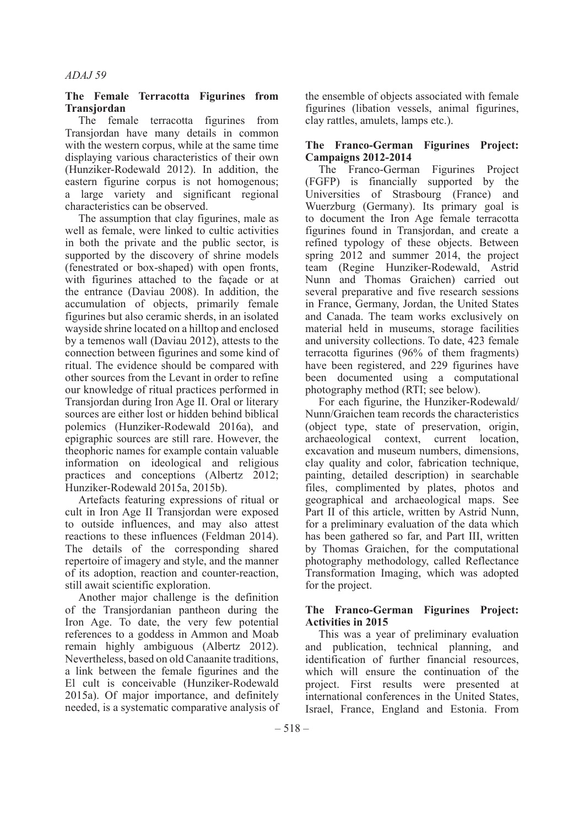#### **The Female Terracotta Figurines from Transjordan**

The female terracotta figurines from Transjordan have many details in common with the western corpus, while at the same time displaying various characteristics of their own (Hunziker-Rodewald 2012). In addition, the eastern figurine corpus is not homogenous; a large variety and significant regional characteristics can be observed.

The assumption that clay figurines, male as well as female, were linked to cultic activities in both the private and the public sector, is supported by the discovery of shrine models (fenestrated or box-shaped) with open fronts, with figurines attached to the façade or at the entrance (Daviau 2008). In addition, the accumulation of objects, primarily female figurines but also ceramic sherds, in an isolated wayside shrine located on a hilltop and enclosed by a temenos wall (Daviau 2012), attests to the connection between figurines and some kind of ritual. The evidence should be compared with other sources from the Levant in order to refine our knowledge of ritual practices performed in Transjordan during Iron Age II. Oral or literary sources are either lost or hidden behind biblical polemics (Hunziker-Rodewald 2016a), and epigraphic sources are still rare. However, the theophoric names for example contain valuable information on ideological and religious practices and conceptions (Albertz 2012; Hunziker-Rodewald 2015a, 2015b).

Artefacts featuring expressions of ritual or cult in Iron Age II Transjordan were exposed to outside influences, and may also attest reactions to these influences (Feldman 2014). The details of the corresponding shared repertoire of imagery and style, and the manner of its adoption, reaction and counter-reaction, still await scientific exploration.

Another major challenge is the definition of the Transjordanian pantheon during the Iron Age. To date, the very few potential references to a goddess in Ammon and Moab remain highly ambiguous (Albertz 2012). Nevertheless, based on old Canaanite traditions, a link between the female figurines and the El cult is conceivable (Hunziker-Rodewald 2015a). Of major importance, and definitely needed, is a systematic comparative analysis of the ensemble of objects associated with female figurines (libation vessels, animal figurines, clay rattles, amulets, lamps etc.).

## **The Franco-German Figurines Project: Campaigns 2012-2014**

The Franco-German Figurines Project (FGFP) is financially supported by the Universities of Strasbourg (France) and Wuerzburg (Germany). Its primary goal is to document the Iron Age female terracotta figurines found in Transjordan, and create a refined typology of these objects. Between spring 2012 and summer 2014, the project team (Regine Hunziker-Rodewald, Astrid Nunn and Thomas Graichen) carried out several preparative and five research sessions in France, Germany, Jordan, the United States and Canada. The team works exclusively on material held in museums, storage facilities and university collections. To date, 423 female terracotta figurines (96% of them fragments) have been registered, and 229 figurines have been documented using a computational photography method (RTI; see below).

For each figurine, the Hunziker-Rodewald/ Nunn/Graichen team records the characteristics (object type, state of preservation, origin, archaeological context, current location, excavation and museum numbers, dimensions, clay quality and color, fabrication technique, painting, detailed description) in searchable files, complimented by plates, photos and geographical and archaeological maps. See Part II of this article, written by Astrid Nunn, for a preliminary evaluation of the data which has been gathered so far, and Part III, written by Thomas Graichen, for the computational photography methodology, called Reflectance Transformation Imaging, which was adopted for the project.

## **The Franco-German Figurines Project: Activities in 2015**

This was a year of preliminary evaluation and publication, technical planning, and identification of further financial resources, which will ensure the continuation of the project. First results were presented at international conferences in the United States, Israel, France, England and Estonia. From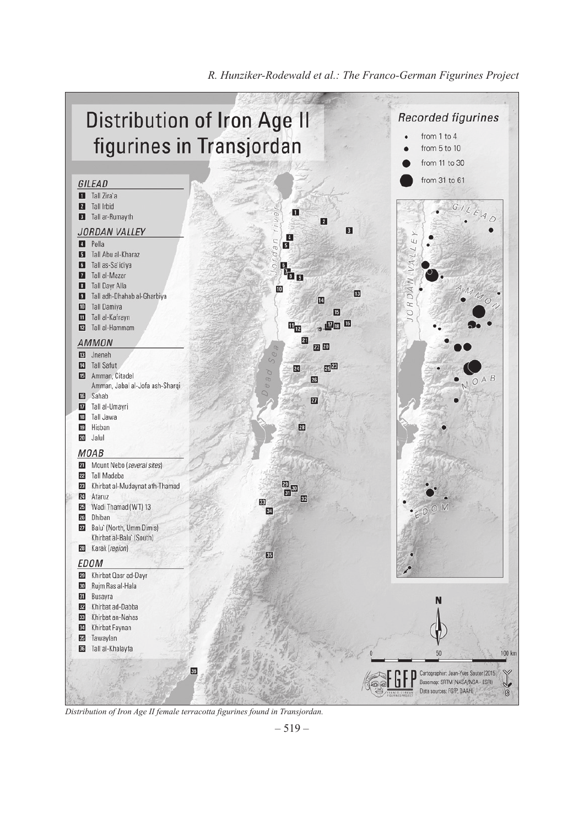

*R. Hunziker-Rodewald et al.: The Franco-German Figurines Project*

*Distribution of Iron Age II female terracotta figurines found in Transjordan.*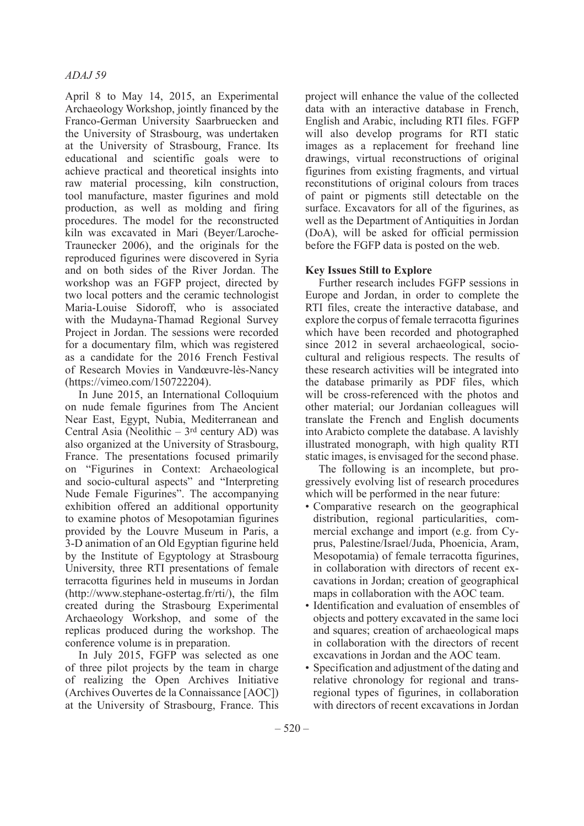April 8 to May 14, 2015, an Experimental Archaeology Workshop, jointly financed by the Franco-German University Saarbruecken and the University of Strasbourg, was undertaken at the University of Strasbourg, France. Its educational and scientific goals were to achieve practical and theoretical insights into raw material processing, kiln construction, tool manufacture, master figurines and mold production, as well as molding and firing procedures. The model for the reconstructed kiln was excavated in Mari (Beyer/Laroche-Traunecker 2006), and the originals for the reproduced figurines were discovered in Syria and on both sides of the River Jordan. The workshop was an FGFP project, directed by two local potters and the ceramic technologist Maria-Louise Sidoroff, who is associated with the Mudayna-Thamad Regional Survey Project in Jordan. The sessions were recorded for a documentary film, which was registered as a candidate for the 2016 French Festival of Research Movies in Vandœuvre-lès-Nancy (https://vimeo.com/150722204).

In June 2015, an International Colloquium on nude female figurines from The Ancient Near East, Egypt, Nubia, Mediterranean and Central Asia (Neolithic  $-3$ <sup>rd</sup> century AD) was also organized at the University of Strasbourg, France. The presentations focused primarily on "Figurines in Context: Archaeological and socio-cultural aspects" and "Interpreting Nude Female Figurines". The accompanying exhibition offered an additional opportunity to examine photos of Mesopotamian figurines provided by the Louvre Museum in Paris, a 3-D animation of an Old Egyptian figurine held by the Institute of Egyptology at Strasbourg University, three RTI presentations of female terracotta figurines held in museums in Jordan (http://www.stephane-ostertag.fr/rti/), the film created during the Strasbourg Experimental Archaeology Workshop, and some of the replicas produced during the workshop. The conference volume is in preparation.

In July 2015, FGFP was selected as one of three pilot projects by the team in charge of realizing the Open Archives Initiative (Archives Ouvertes de la Connaissance [AOC]) at the University of Strasbourg, France. This project will enhance the value of the collected data with an interactive database in French, English and Arabic, including RTI files. FGFP will also develop programs for RTI static images as a replacement for freehand line drawings, virtual reconstructions of original figurines from existing fragments, and virtual reconstitutions of original colours from traces of paint or pigments still detectable on the surface. Excavators for all of the figurines, as well as the Department of Antiquities in Jordan (DoA), will be asked for official permission before the FGFP data is posted on the web.

## **Key Issues Still to Explore**

Further research includes FGFP sessions in Europe and Jordan, in order to complete the RTI files, create the interactive database, and explore the corpus of female terracotta figurines which have been recorded and photographed since 2012 in several archaeological, sociocultural and religious respects. The results of these research activities will be integrated into the database primarily as PDF files, which will be cross-referenced with the photos and other material; our Jordanian colleagues will translate the French and English documents into Arabicto complete the database. A lavishly illustrated monograph, with high quality RTI static images, is envisaged for the second phase.

The following is an incomplete, but progressively evolving list of research procedures which will be performed in the near future:

- Comparative research on the geographical distribution, regional particularities, commercial exchange and import (e.g. from Cyprus, Palestine/Israel/Juda, Phoenicia, Aram, Mesopotamia) of female terracotta figurines, in collaboration with directors of recent excavations in Jordan; creation of geographical maps in collaboration with the AOC team.
- Identification and evaluation of ensembles of objects and pottery excavated in the same loci and squares; creation of archaeological maps in collaboration with the directors of recent excavations in Jordan and the AOC team.
- Specification and adjustment of the dating and relative chronology for regional and transregional types of figurines, in collaboration with directors of recent excavations in Jordan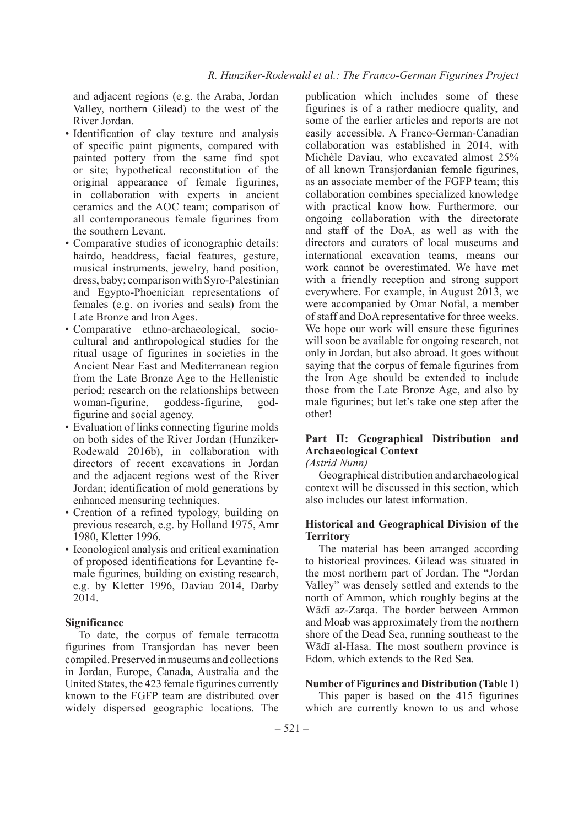and adjacent regions (e.g. the Araba, Jordan Valley, northern Gilead) to the west of the River Jordan.

- Identification of clay texture and analysis of specific paint pigments, compared with painted pottery from the same find spot or site; hypothetical reconstitution of the original appearance of female figurines, in collaboration with experts in ancient ceramics and the AOC team; comparison of all contemporaneous female figurines from the southern Levant.
- Comparative studies of iconographic details: hairdo, headdress, facial features, gesture, musical instruments, jewelry, hand position, dress, baby; comparison with Syro-Palestinian and Egypto-Phoenician representations of females (e.g. on ivories and seals) from the Late Bronze and Iron Ages.
- Comparative ethno-archaeological, sociocultural and anthropological studies for the ritual usage of figurines in societies in the Ancient Near East and Mediterranean region from the Late Bronze Age to the Hellenistic period; research on the relationships between woman-figurine, goddess-figurine, godfigurine and social agency.
- Evaluation of links connecting figurine molds on both sides of the River Jordan (Hunziker-Rodewald 2016b), in collaboration with directors of recent excavations in Jordan and the adjacent regions west of the River Jordan; identification of mold generations by enhanced measuring techniques.
- Creation of a refined typology, building on previous research, e.g. by Holland 1975, Amr 1980, Kletter 1996.
- Iconological analysis and critical examination of proposed identifications for Levantine female figurines, building on existing research, e.g. by Kletter 1996, Daviau 2014, Darby 2014.

## **Significance**

To date, the corpus of female terracotta figurines from Transjordan has never been compiled. Preserved in museums and collections in Jordan, Europe, Canada, Australia and the United States, the 423 female figurines currently known to the FGFP team are distributed over widely dispersed geographic locations. The

publication which includes some of these figurines is of a rather mediocre quality, and some of the earlier articles and reports are not easily accessible. A Franco-German-Canadian collaboration was established in 2014, with Michèle Daviau, who excavated almost 25% of all known Transjordanian female figurines, as an associate member of the FGFP team; this collaboration combines specialized knowledge with practical know how. Furthermore, our ongoing collaboration with the directorate and staff of the DoA, as well as with the directors and curators of local museums and international excavation teams, means our work cannot be overestimated. We have met with a friendly reception and strong support everywhere. For example, in August 2013, we were accompanied by Omar Nofal, a member of staff and DoA representative for three weeks. We hope our work will ensure these figurines will soon be available for ongoing research, not only in Jordan, but also abroad. It goes without saying that the corpus of female figurines from the Iron Age should be extended to include those from the Late Bronze Age, and also by male figurines; but let's take one step after the other!

## **Part II: Geographical Distribution and Archaeological Context**

*(Astrid Nunn)*

Geographical distribution and archaeological context will be discussed in this section, which also includes our latest information.

#### **Historical and Geographical Division of the Territory**

The material has been arranged according to historical provinces. Gilead was situated in the most northern part of Jordan. The "Jordan Valley" was densely settled and extends to the north of Ammon, which roughly begins at the Wādī az-Zarqa. The border between Ammon and Moab was approximately from the northern shore of the Dead Sea, running southeast to the Wādī al-Hasa. The most southern province is Edom, which extends to the Red Sea.

#### **Number of Figurines and Distribution (Table 1)**

This paper is based on the 415 figurines which are currently known to us and whose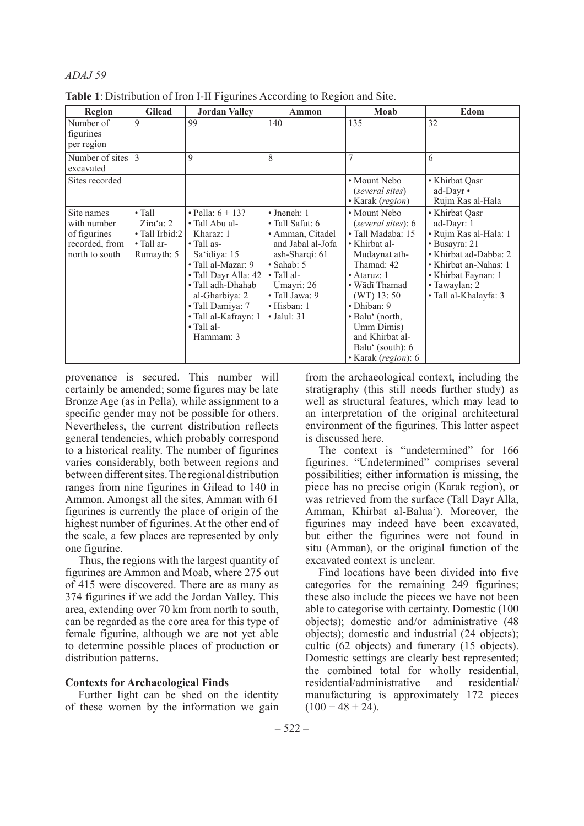| <b>Region</b>                                                                 | <b>Gilead</b>                                                                       | <b>Jordan Valley</b>                                                                                                                                                                                                                                         | Ammon                                                                                                                                                                                                               | Moab                                                                                                                                                                                                                                                                     | Edom                                                                                                                                                                                      |
|-------------------------------------------------------------------------------|-------------------------------------------------------------------------------------|--------------------------------------------------------------------------------------------------------------------------------------------------------------------------------------------------------------------------------------------------------------|---------------------------------------------------------------------------------------------------------------------------------------------------------------------------------------------------------------------|--------------------------------------------------------------------------------------------------------------------------------------------------------------------------------------------------------------------------------------------------------------------------|-------------------------------------------------------------------------------------------------------------------------------------------------------------------------------------------|
| Number of<br>figurines<br>per region                                          | 9                                                                                   | 99                                                                                                                                                                                                                                                           | 140                                                                                                                                                                                                                 | 135                                                                                                                                                                                                                                                                      | 32                                                                                                                                                                                        |
| Number of sites<br>excavated                                                  | $\mathcal{E}$                                                                       | 9                                                                                                                                                                                                                                                            | 8                                                                                                                                                                                                                   |                                                                                                                                                                                                                                                                          | 6                                                                                                                                                                                         |
| Sites recorded                                                                |                                                                                     |                                                                                                                                                                                                                                                              |                                                                                                                                                                                                                     | • Mount Nebo<br>(several sites)<br>• Karak (region)                                                                                                                                                                                                                      | • Khirbat Qasr<br>ad-Dayr •<br>Rujm Ras al-Hala                                                                                                                                           |
| Site names<br>with number<br>of figurines<br>recorded, from<br>north to south | $\bullet$ Tall<br>$Zira$ a: 2<br>• Tall Irbid:2<br>$\bullet$ Tall ar-<br>Rumayth: 5 | • Pella: $6 + 13$ ?<br>• Tall Abu al-<br>Kharaz: 1<br>$\bullet$ Tall as-<br>Sa'idiya: 15<br>· Tall al-Mazar: 9<br>• Tall Dayr Alla: 42<br>• Tall adh-Dhahab<br>al-Gharbiya: 2<br>· Tall Damiya: 7<br>• Tall al-Kafrayn: 1<br>$\bullet$ Tall al-<br>Hammam: 3 | $\bullet$ Jneneh: 1<br>• Tall Safut: 6<br>• Amman, Citadel<br>and Jabal al-Jofa<br>ash-Sharqi: 61<br>$\bullet$ Sahab: 5<br>$\bullet$ Tall al-<br>Umayri: 26<br>• Tall Jawa: 9<br>• Hisban: 1<br>$\bullet$ Jalul: 31 | • Mount Nebo<br>(several sites): 6<br>• Tall Madaba: 15<br>• Khirbat al-<br>Mudaynat ath-<br>Thamad: 42<br>• Ataruz: $1$<br>• Wādī Thamad<br>$(WT)$ 13: 50<br>· Dhiban: 9<br>• Balu' (north,<br>Umm Dimis)<br>and Khirbat al-<br>Balu' (south): 6<br>• Karak (region): 6 | • Khirbat Qasr<br>ad-Dayr: 1<br>· Rujm Ras al-Hala: 1<br>• Busayra: 21<br>• Khirbat ad-Dabba: 2<br>• Khirbat an-Nahas: 1<br>• Khirbat Faynan: 1<br>• Tawaylan: 2<br>• Tall al-Khalayfa: 3 |

**Table 1**: Distribution of Iron I-II Figurines According to Region and Site.

provenance is secured. This number will certainly be amended; some figures may be late Bronze Age (as in Pella), while assignment to a specific gender may not be possible for others. Nevertheless, the current distribution reflects general tendencies, which probably correspond to a historical reality. The number of figurines varies considerably, both between regions and between different sites. The regional distribution ranges from nine figurines in Gilead to 140 in Ammon. Amongst all the sites, Amman with 61 figurines is currently the place of origin of the highest number of figurines. At the other end of the scale, a few places are represented by only one figurine.

Thus, the regions with the largest quantity of figurines are Ammon and Moab, where 275 out of 415 were discovered. There are as many as 374 figurines if we add the Jordan Valley. This area, extending over 70 km from north to south, can be regarded as the core area for this type of female figurine, although we are not yet able to determine possible places of production or distribution patterns.

#### **Contexts for Archaeological Finds**

Further light can be shed on the identity of these women by the information we gain from the archaeological context, including the stratigraphy (this still needs further study) as well as structural features, which may lead to an interpretation of the original architectural environment of the figurines. This latter aspect is discussed here.

The context is "undetermined" for 166 figurines. "Undetermined" comprises several possibilities; either information is missing, the piece has no precise origin (Karak region), or was retrieved from the surface (Tall Dayr Alla, Amman, Khirbat al-Balua'). Moreover, the figurines may indeed have been excavated, but either the figurines were not found in situ (Amman), or the original function of the excavated context is unclear.

Find locations have been divided into five categories for the remaining 249 figurines; these also include the pieces we have not been able to categorise with certainty. Domestic (100 objects); domestic and/or administrative (48 objects); domestic and industrial (24 objects); cultic (62 objects) and funerary (15 objects). Domestic settings are clearly best represented; the combined total for wholly residential, residential/administrative and residential/ manufacturing is approximately 172 pieces  $(100 + 48 + 24)$ .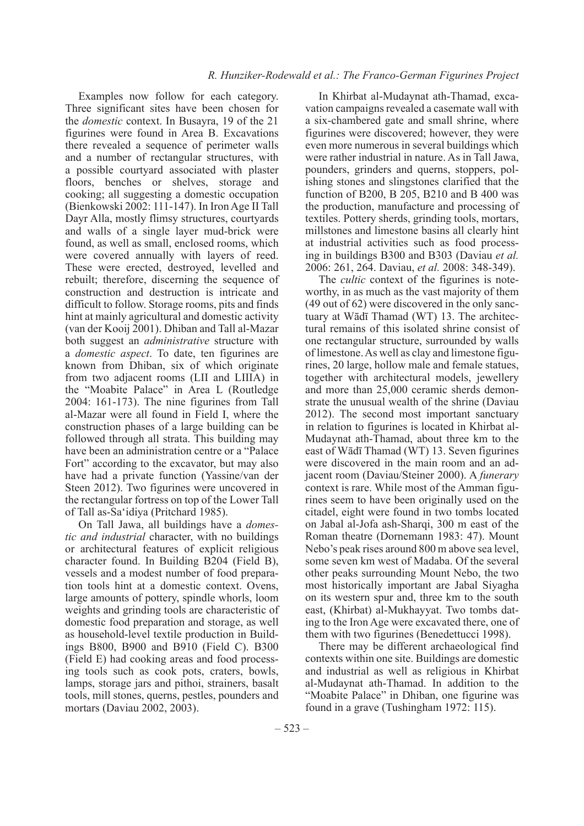Examples now follow for each category. Three significant sites have been chosen for the *domestic* context. In Busayra, 19 of the 21 figurines were found in Area B. Excavations there revealed a sequence of perimeter walls and a number of rectangular structures, with a possible courtyard associated with plaster floors, benches or shelves, storage and cooking; all suggesting a domestic occupation (Bienkowski 2002: 111-147). In Iron Age II Tall Dayr Alla, mostly flimsy structures, courtyards and walls of a single layer mud-brick were found, as well as small, enclosed rooms, which were covered annually with layers of reed. These were erected, destroyed, levelled and rebuilt; therefore, discerning the sequence of construction and destruction is intricate and difficult to follow. Storage rooms, pits and finds hint at mainly agricultural and domestic activity (van der Kooij 2001). Dhiban and Tall al-Mazar both suggest an *administrative* structure with a *domestic aspect*. To date, ten figurines are known from Dhiban, six of which originate from two adjacent rooms (LII and LIIIA) in the "Moabite Palace" in Area L (Routledge 2004: 161-173). The nine figurines from Tall al-Mazar were all found in Field I, where the construction phases of a large building can be followed through all strata. This building may have been an administration centre or a "Palace Fort" according to the excavator, but may also have had a private function (Yassine/van der Steen 2012). Two figurines were uncovered in the rectangular fortress on top of the Lower Tall of Tall as-Sa'idiya (Pritchard 1985).

On Tall Jawa, all buildings have a *domestic and industrial* character, with no buildings or architectural features of explicit religious character found. In Building B204 (Field B), vessels and a modest number of food preparation tools hint at a domestic context. Ovens, large amounts of pottery, spindle whorls, loom weights and grinding tools are characteristic of domestic food preparation and storage, as well as household-level textile production in Buildings B800, B900 and B910 (Field C). B300 (Field E) had cooking areas and food processing tools such as cook pots, craters, bowls, lamps, storage jars and pithoi, strainers, basalt tools, mill stones, querns, pestles, pounders and mortars (Daviau 2002, 2003).

In Khirbat al-Mudaynat ath-Thamad, excavation campaigns revealed a casemate wall with a six-chambered gate and small shrine, where figurines were discovered; however, they were even more numerous in several buildings which were rather industrial in nature. As in Tall Jawa, pounders, grinders and querns, stoppers, polishing stones and slingstones clarified that the function of B200, B 205, B210 and B 400 was the production, manufacture and processing of textiles. Pottery sherds, grinding tools, mortars, millstones and limestone basins all clearly hint at industrial activities such as food processing in buildings B300 and B303 (Daviau *et al.* 2006: 261, 264. Daviau, *et al.* 2008: 348-349).

The *cultic* context of the figurines is noteworthy, in as much as the vast majority of them (49 out of 62) were discovered in the only sanctuary at Wādī Thamad (WT) 13. The architectural remains of this isolated shrine consist of one rectangular structure, surrounded by walls of limestone. As well as clay and limestone figurines, 20 large, hollow male and female statues, together with architectural models, jewellery and more than 25,000 ceramic sherds demonstrate the unusual wealth of the shrine (Daviau 2012). The second most important sanctuary in relation to figurines is located in Khirbat al-Mudaynat ath-Thamad, about three km to the east of Wādī Thamad (WT) 13. Seven figurines were discovered in the main room and an adjacent room (Daviau/Steiner 2000). A *funerary* context is rare. While most of the Amman figurines seem to have been originally used on the citadel, eight were found in two tombs located on Jabal al-Jofa ash-Sharqi, 300 m east of the Roman theatre (Dornemann 1983: 47). Mount Nebo's peak rises around 800 m above sea level, some seven km west of Madaba. Of the several other peaks surrounding Mount Nebo, the two most historically important are Jabal Siyagha on its western spur and, three km to the south east, (Khirbat) al-Mukhayyat. Two tombs dating to the Iron Age were excavated there, one of them with two figurines (Benedettucci 1998).

There may be different archaeological find contexts within one site. Buildings are domestic and industrial as well as religious in Khirbat al-Mudaynat ath-Thamad. In addition to the "Moabite Palace" in Dhiban, one figurine was found in a grave (Tushingham 1972: 115).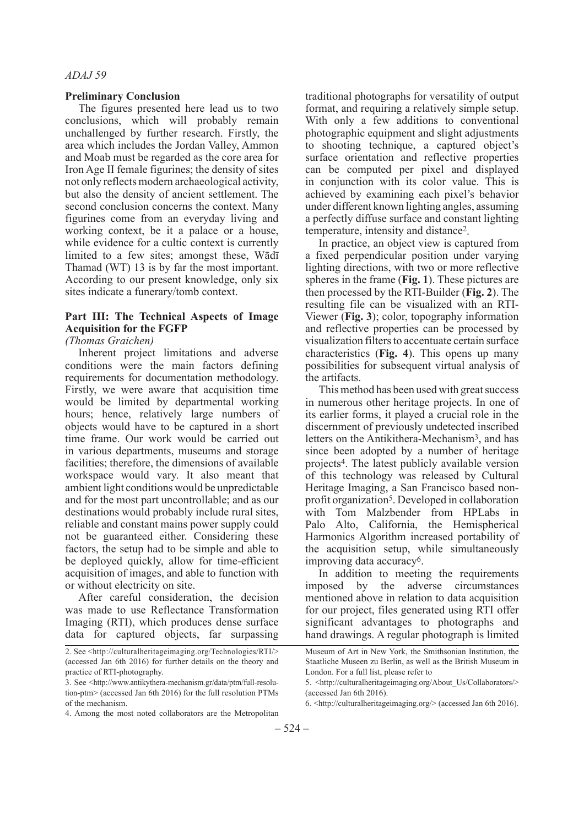#### **Preliminary Conclusion**

The figures presented here lead us to two conclusions, which will probably remain unchallenged by further research. Firstly, the area which includes the Jordan Valley, Ammon and Moab must be regarded as the core area for Iron Age II female figurines; the density of sites not only reflects modern archaeological activity, but also the density of ancient settlement. The second conclusion concerns the context. Many figurines come from an everyday living and working context, be it a palace or a house, while evidence for a cultic context is currently limited to a few sites; amongst these, Wādī Thamad (WT) 13 is by far the most important. According to our present knowledge, only six sites indicate a funerary/tomb context.

## **Part III: The Technical Aspects of Image Acquisition for the FGFP**

*(Thomas Graichen)*

Inherent project limitations and adverse conditions were the main factors defining requirements for documentation methodology. Firstly, we were aware that acquisition time would be limited by departmental working hours; hence, relatively large numbers of objects would have to be captured in a short time frame. Our work would be carried out in various departments, museums and storage facilities; therefore, the dimensions of available workspace would vary. It also meant that ambient light conditions would be unpredictable and for the most part uncontrollable; and as our destinations would probably include rural sites, reliable and constant mains power supply could not be guaranteed either. Considering these factors, the setup had to be simple and able to be deployed quickly, allow for time-efficient acquisition of images, and able to function with or without electricity on site.

After careful consideration, the decision was made to use Reflectance Transformation Imaging (RTI), which produces dense surface data for captured objects, far surpassing

4. Among the most noted collaborators are the Metropolitan

traditional photographs for versatility of output format, and requiring a relatively simple setup. With only a few additions to conventional photographic equipment and slight adjustments to shooting technique, a captured object's surface orientation and reflective properties can be computed per pixel and displayed in conjunction with its color value. This is achieved by examining each pixel's behavior under different known lighting angles, assuming a perfectly diffuse surface and constant lighting temperature, intensity and distance2.

In practice, an object view is captured from a fixed perpendicular position under varying lighting directions, with two or more reflective spheres in the frame (**Fig. 1**). These pictures are then processed by the RTI-Builder (**Fig. 2**). The resulting file can be visualized with an RTI-Viewer (**Fig. 3**); color, topography information and reflective properties can be processed by visualization filters to accentuate certain surface characteristics (**Fig. 4**). This opens up many possibilities for subsequent virtual analysis of the artifacts.

This method has been used with great success in numerous other heritage projects. In one of its earlier forms, it played a crucial role in the discernment of previously undetected inscribed letters on the Antikithera-Mechanism<sup>3</sup>, and has since been adopted by a number of heritage projects4. The latest publicly available version of this technology was released by Cultural Heritage Imaging, a San Francisco based nonprofit organization<sup>5</sup>. Developed in collaboration with Tom Malzbender from HPLabs in Palo Alto, California, the Hemispherical Harmonics Algorithm increased portability of the acquisition setup, while simultaneously improving data accuracy6.

In addition to meeting the requirements imposed by the adverse circumstances mentioned above in relation to data acquisition for our project, files generated using RTI offer significant advantages to photographs and hand drawings. A regular photograph is limited

<sup>2.</sup> See <http://culturalheritageimaging.org/Technologies/RTI/> (accessed Jan 6th 2016) for further details on the theory and practice of RTI-photography.

<sup>3.</sup> See <http://www.antikythera-mechanism.gr/data/ptm/full-resolution-ptm> (accessed Jan 6th 2016) for the full resolution PTMs of the mechanism.

Museum of Art in New York, the Smithsonian Institution, the Staatliche Museen zu Berlin, as well as the British Museum in London. For a full list, please refer to

<sup>5. &</sup>lt;http://culturalheritageimaging.org/About\_Us/Collaborators/> (accessed Jan 6th 2016).

<sup>6. &</sup>lt;http://culturalheritageimaging.org/> (accessed Jan 6th 2016).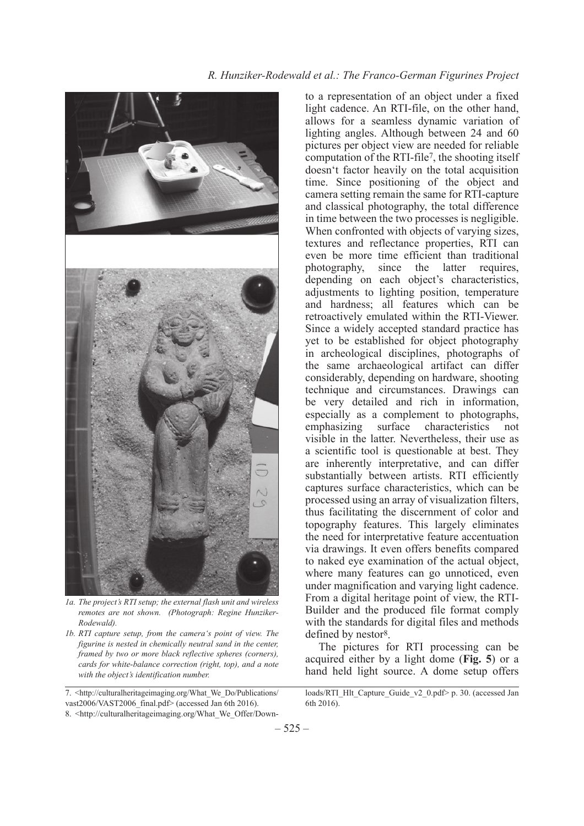# *R. Hunziker-Rodewald et al.: The Franco-German Figurines Project*



*1a. The project's RTI setup; the external flash unit and wireless remotes are not shown. (Photograph: Regine Hunziker-Rodewald).*

*1b. RTI capture setup, from the camera's point of view. The figurine is nested in chemically neutral sand in the center, framed by two or more black reflective spheres (corners), cards for white-balance correction (right, top), and a note with the object's identification number.*

7. <http://culturalheritageimaging.org/What\_We\_Do/Publications/ vast2006/VAST2006\_final.pdf> (accessed Jan 6th 2016). 8. <http://culturalheritageimaging.org/What\_We\_Offer/Down-

The pictures for RTI processing can be acquired either by a light dome (**Fig. 5**) or a hand held light source. A dome setup offers

to a representation of an object under a fixed light cadence. An RTI-file, on the other hand, allows for a seamless dynamic variation of lighting angles. Although between 24 and 60 pictures per object view are needed for reliable computation of the RTI-file7, the shooting itself doesn't factor heavily on the total acquisition time. Since positioning of the object and camera setting remain the same for RTI-capture and classical photography, the total difference in time between the two processes is negligible. When confronted with objects of varying sizes, textures and reflectance properties, RTI can even be more time efficient than traditional photography, since the latter requires, depending on each object's characteristics, adjustments to lighting position, temperature and hardness; all features which can be retroactively emulated within the RTI-Viewer. Since a widely accepted standard practice has yet to be established for object photography in archeological disciplines, photographs of the same archaeological artifact can differ considerably, depending on hardware, shooting technique and circumstances. Drawings can be very detailed and rich in information, especially as a complement to photographs, emphasizing surface characteristics not visible in the latter. Nevertheless, their use as a scientific tool is questionable at best. They are inherently interpretative, and can differ substantially between artists. RTI efficiently captures surface characteristics, which can be processed using an array of visualization filters, thus facilitating the discernment of color and topography features. This largely eliminates the need for interpretative feature accentuation via drawings. It even offers benefits compared to naked eye examination of the actual object, where many features can go unnoticed, even under magnification and varying light cadence. From a digital heritage point of view, the RTI-Builder and the produced file format comply with the standards for digital files and methods defined by nestor<sup>8</sup>.

loads/RTI\_Hlt\_Capture\_Guide\_v2\_0.pdf> p. 30. (accessed Jan 6th 2016).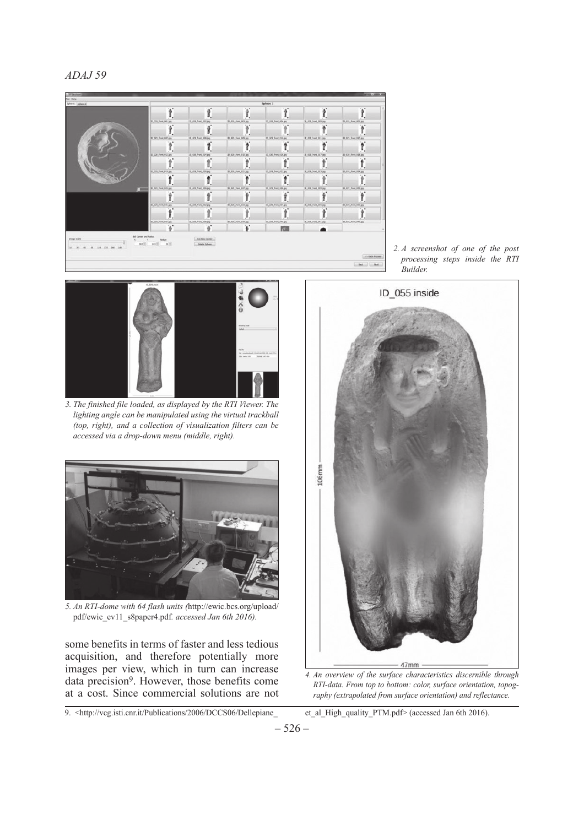

*2. A screenshot of one of the post processing steps inside the RTI Builder.*



*3. The finished file loaded, as displayed by the RTI Viewer. The lighting angle can be manipulated using the virtual trackball (top, right), and a collection of visualization filters can be accessed via a drop-down menu (middle, right).*



*5. An RTI-dome with 64 flash units (*http://ewic.bcs.org/upload/ pdf/ewic\_ev11\_s8paper4.pdf*. accessed Jan 6th 2016).*

some benefits in terms of faster and less tedious acquisition, and therefore potentially more images per view, which in turn can increase data precision9. However, those benefits come at a cost. Since commercial solutions are not

9. <http://vcg.isti.cnr.it/Publications/2006/DCCS06/Dellepiane\_ et\_al\_High\_quality\_PTM.pdf> (accessed Jan 6th 2016).



*4. An overview of the surface characteristics discernible through RTI-data. From top to bottom: color, surface orientation, topography (extrapolated from surface orientation) and reflectance.*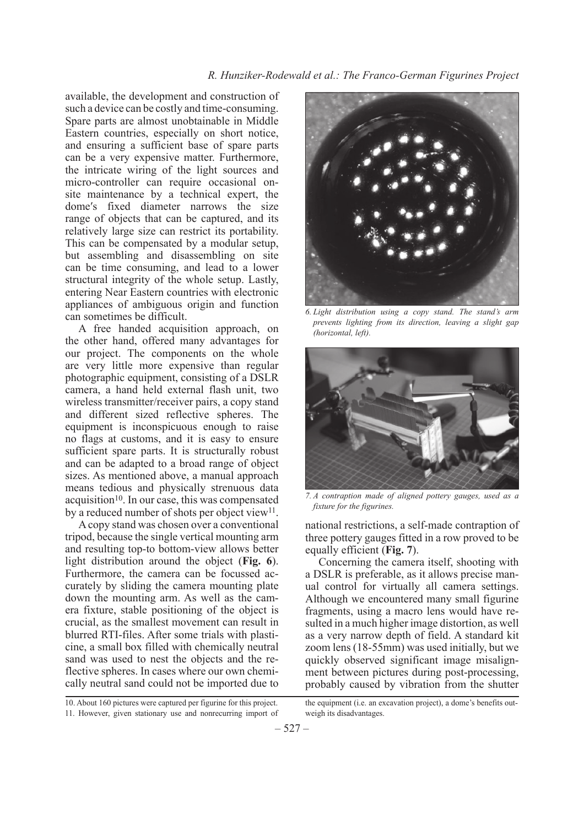#### *R. Hunziker-Rodewald et al.: The Franco-German Figurines Project*

available, the development and construction of such a device can be costly and time-consuming. Spare parts are almost unobtainable in Middle Eastern countries, especially on short notice, and ensuring a sufficient base of spare parts can be a very expensive matter. Furthermore, the intricate wiring of the light sources and micro-controller can require occasional onsite maintenance by a technical expert, the dome's fixed diameter narrows the size range of objects that can be captured, and its relatively large size can restrict its portability. This can be compensated by a modular setup, but assembling and disassembling on site can be time consuming, and lead to a lower structural integrity of the whole setup. Lastly, entering Near Eastern countries with electronic appliances of ambiguous origin and function can sometimes be difficult.

A free handed acquisition approach, on the other hand, offered many advantages for our project. The components on the whole are very little more expensive than regular photographic equipment, consisting of a DSLR camera, a hand held external flash unit, two wireless transmitter/receiver pairs, a copy stand and different sized reflective spheres. The equipment is inconspicuous enough to raise no flags at customs, and it is easy to ensure sufficient spare parts. It is structurally robust and can be adapted to a broad range of object sizes. As mentioned above, a manual approach means tedious and physically strenuous data  $acquisition<sup>10</sup>$ . In our case, this was compensated by a reduced number of shots per object view<sup>11</sup>.

A copy stand was chosen over a conventional tripod, because the single vertical mounting arm and resulting top-to bottom-view allows better light distribution around the object (**Fig. 6**). Furthermore, the camera can be focussed accurately by sliding the camera mounting plate down the mounting arm. As well as the camera fixture, stable positioning of the object is crucial, as the smallest movement can result in blurred RTI-files. After some trials with plasticine, a small box filled with chemically neutral sand was used to nest the objects and the reflective spheres. In cases where our own chemically neutral sand could not be imported due to



*6. Light distribution using a copy stand. The stand's arm prevents lighting from its direction, leaving a slight gap (horizontal, left).*



*7. A contraption made of aligned pottery gauges, used as a fixture for the figurines.*

national restrictions, a self-made contraption of three pottery gauges fitted in a row proved to be equally efficient (**Fig. 7**).

Concerning the camera itself, shooting with a DSLR is preferable, as it allows precise manual control for virtually all camera settings. Although we encountered many small figurine fragments, using a macro lens would have resulted in a much higher image distortion, as well as a very narrow depth of field. A standard kit zoom lens (18-55mm) was used initially, but we quickly observed significant image misalignment between pictures during post-processing, probably caused by vibration from the shutter

<sup>10.</sup> About 160 pictures were captured per figurine for this project. 11. However, given stationary use and nonrecurring import of

the equipment (i.e. an excavation project), a dome's benefits outweigh its disadvantages.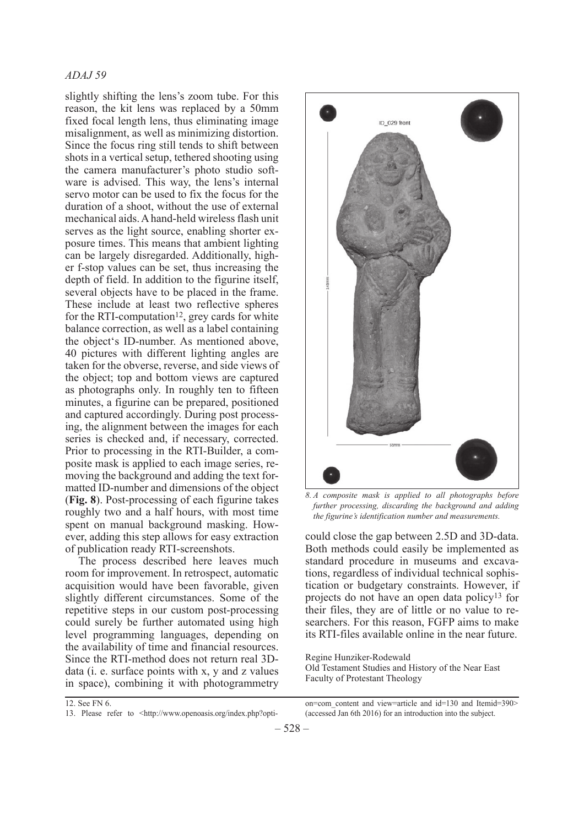slightly shifting the lens's zoom tube. For this reason, the kit lens was replaced by a 50mm fixed focal length lens, thus eliminating image misalignment, as well as minimizing distortion. Since the focus ring still tends to shift between shots in a vertical setup, tethered shooting using the camera manufacturer's photo studio software is advised. This way, the lens's internal servo motor can be used to fix the focus for the duration of a shoot, without the use of external mechanical aids. A hand-held wireless flash unit serves as the light source, enabling shorter exposure times. This means that ambient lighting can be largely disregarded. Additionally, higher f-stop values can be set, thus increasing the depth of field. In addition to the figurine itself, several objects have to be placed in the frame. These include at least two reflective spheres for the RTI-computation<sup>12</sup>, grey cards for white balance correction, as well as a label containing the object's ID-number. As mentioned above, 40 pictures with different lighting angles are taken for the obverse, reverse, and side views of the object; top and bottom views are captured as photographs only. In roughly ten to fifteen minutes, a figurine can be prepared, positioned and captured accordingly. During post processing, the alignment between the images for each series is checked and, if necessary, corrected. Prior to processing in the RTI-Builder, a composite mask is applied to each image series, removing the background and adding the text formatted ID-number and dimensions of the object (**Fig. 8**). Post-processing of each figurine takes roughly two and a half hours, with most time spent on manual background masking. However, adding this step allows for easy extraction of publication ready RTI-screenshots.

The process described here leaves much room for improvement. In retrospect, automatic acquisition would have been favorable, given slightly different circumstances. Some of the repetitive steps in our custom post-processing could surely be further automated using high level programming languages, depending on the availability of time and financial resources. Since the RTI-method does not return real 3Ddata (i. e. surface points with x, y and z values in space), combining it with photogrammetry



*8. A composite mask is applied to all photographs before further processing, discarding the background and adding the figurine's identification number and measurements.*

could close the gap between 2.5D and 3D-data. Both methods could easily be implemented as standard procedure in museums and excavations, regardless of individual technical sophistication or budgetary constraints. However, if projects do not have an open data policy13 for their files, they are of little or no value to researchers. For this reason, FGFP aims to make its RTI-files available online in the near future.

Regine Hunziker-Rodewald Old Testament Studies and History of the Near East Faculty of Protestant Theology

12. See FN 6. 13. Please refer to <http://www.openoasis.org/index.php?option=com\_content and view=article and id=130 and Itemid=390> (accessed Jan 6th 2016) for an introduction into the subject.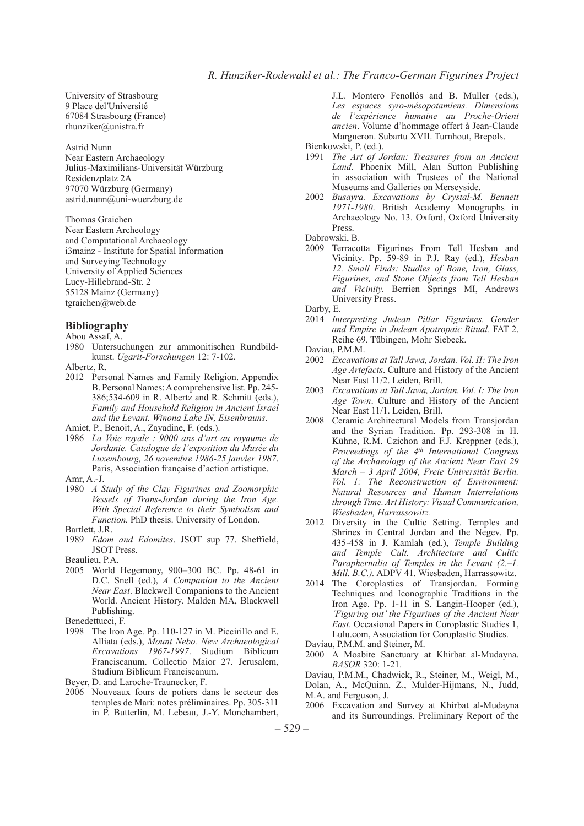University of Strasbourg 9 Place del′Université 67084 Strasbourg (France) rhunziker@unistra.fr

Astrid Nunn Near Eastern Archaeology Julius-Maximilians-Universität Würzburg Residenzplatz 2A 97070 Würzburg (Germany) astrid.nunn@uni-wuerzburg.de

Thomas Graichen Near Eastern Archeology and Computational Archaeology i3mainz - Institute for Spatial Information and Surveying Technology University of Applied Sciences Lucy-Hillebrand-Str. 2 55128 Mainz (Germany) tgraichen@web.de

#### **Bibliography**

Abou Assaf, A.

1980 Untersuchungen zur ammonitischen Rundbildkunst. *Ugarit-Forschungen* 12: 7-102.

Albertz, R.

2012 Personal Names and Family Religion. Appendix B. Personal Names: A comprehensive list. Pp. 245- 386;534-609 in R. Albertz and R. Schmitt (eds.), *Family and Household Religion in Ancient Israel and the Levant. Winona Lake IN, Eisenbrauns.*

Amiet, P., Benoit, A., Zayadine, F. (eds.).

- 1986 *La Voie royale : 9000 ans d'art au royaume de Jordanie. Catalogue de l'exposition du Musée du Luxembourg, 26 novembre 1986-25 janvier 1987*. Paris, Association française d'action artistique. Amr, A.-J.
- 
- 1980 *A Study of the Clay Figurines and Zoomorphic Vessels of Trans-Jordan during the Iron Age. With Special Reference to their Symbolism and Function.* PhD thesis. University of London.
- Bartlett, J.R.
- 1989 *Edom and Edomites*. JSOT sup 77. Sheffield, JSOT Press.
- Beaulieu, P.A.
- 2005 World Hegemony, 900–300 BC. Pp. 48-61 in D.C. Snell (ed.), *A Companion to the Ancient Near East*. Blackwell Companions to the Ancient World. Ancient History. Malden MA, Blackwell Publishing.
- Benedettucci, F.
- 1998 The Iron Age. Pp. 110-127 in M. Piccirillo and E. Alliata (eds.), *Mount Nebo. New Archaeological Excavations 1967-1997*. Studium Biblicum Franciscanum. Collectio Maior 27. Jerusalem, Studium Biblicum Franciscanum.
- Beyer, D. and Laroche-Traunecker, F.
- 2006 Nouveaux fours de potiers dans le secteur des temples de Mari: notes préliminaires. Pp. 305-311 in P. Butterlin, M. Lebeau, J.-Y. Monchambert,

J.L. Montero Fenollós and B. Muller (eds.), *Les espaces syro-mésopotamiens. Dimensions de l'expérience humaine au Proche-Orient ancien*. Volume d'hommage offert à Jean-Claude Margueron. Subartu XVII. Turnhout, Brepols. Bienkowski, P. (ed.).

1991 *The Art of Jordan: Treasures from an Ancient Land*. Phoenix Mill, Alan Sutton Publishing in association with Trustees of the National Museums and Galleries on Merseyside.

2002 *Busayra. Excavations by Crystal-M. Bennett 1971-1980*. British Academy Monographs in Archaeology No. 13. Oxford, Oxford University Press.

Dabrowski, B.

2009 Terracotta Figurines From Tell Hesban and Vicinity. Pp. 59-89 in P.J. Ray (ed.), *Hesban 12. Small Finds: Studies of Bone, Iron, Glass, Figurines, and Stone Objects from Tell Hesban and Vicinity.* Berrien Springs MI, Andrews University Press.

Darby, E.

2014 *Interpreting Judean Pillar Figurines. Gender and Empire in Judean Apotropaic Ritual*. FAT 2. Reihe 69. Tübingen, Mohr Siebeck.

Daviau, P.M.M.

- 2002 *Excavations at Tall Jawa, Jordan. Vol. II: The Iron Age Artefacts*. Culture and History of the Ancient Near East 11/2. Leiden, Brill.
- 2003 *Excavations at Tall Jawa, Jordan. Vol. I: The Iron Age Town*. Culture and History of the Ancient Near East 11/1. Leiden, Brill.
- 2008 Ceramic Architectural Models from Transjordan and the Syrian Tradition. Pp. 293-308 in H. Kühne, R.M. Czichon and F.J. Kreppner (eds.), *Proceedings of the 4th International Congress of the Archaeology of the Ancient Near East 29 March – 3 April 2004, Freie Universität Berlin. Vol. 1: The Reconstruction of Environment: Natural Resources and Human Interrelations through Time. Art History: Visual Communication, Wiesbaden, Harrassowitz.*
- 2012 Diversity in the Cultic Setting. Temples and Shrines in Central Jordan and the Negev. Pp. 435-458 in J. Kamlah (ed.), *Temple Building and Temple Cult. Architecture and Cultic Paraphernalia of Temples in the Levant (2.–1. Mill. B.C.).* ADPV 41. Wiesbaden, Harrassowitz.
- 2014 The Coroplastics of Transjordan. Forming Techniques and Iconographic Traditions in the Iron Age. Pp. 1-11 in S. Langin-Hooper (ed.), *'Figuring out' the Figurines of the Ancient Near East*. Occasional Papers in Coroplastic Studies 1, Lulu.com, Association for Coroplastic Studies.
- Daviau, P.M.M. and Steiner, M.
- 2000 A Moabite Sanctuary at Khirbat al-Mudayna. *BASOR* 320: 1-21.

Daviau, P.M.M., Chadwick, R., Steiner, M., Weigl, M., Dolan, A., McQuinn, Z., Mulder-Hijmans, N., Judd, M.A. and Ferguson, J.

2006 Excavation and Survey at Khirbat al-Mudayna and its Surroundings. Preliminary Report of the